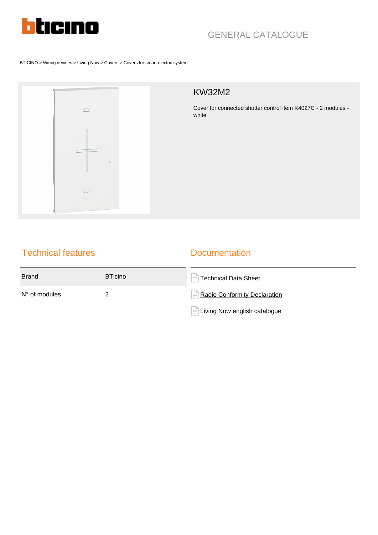

BTICINO > Wiring devices > Living Now > Covers > Covers for smart electric system



## KW32M2

Cover for connected shutter control item K4027C - 2 modules white

# Technical features

### **Documentation**

| <b>Brand</b>           | <b>BTicino</b> | $\left =\right $ Technical Data Sheet           |
|------------------------|----------------|-------------------------------------------------|
| $N^{\circ}$ of modules |                | $\left  = \right $ Radio Conformity Declaration |
|                        |                | $=$ Living Now english catalogue                |